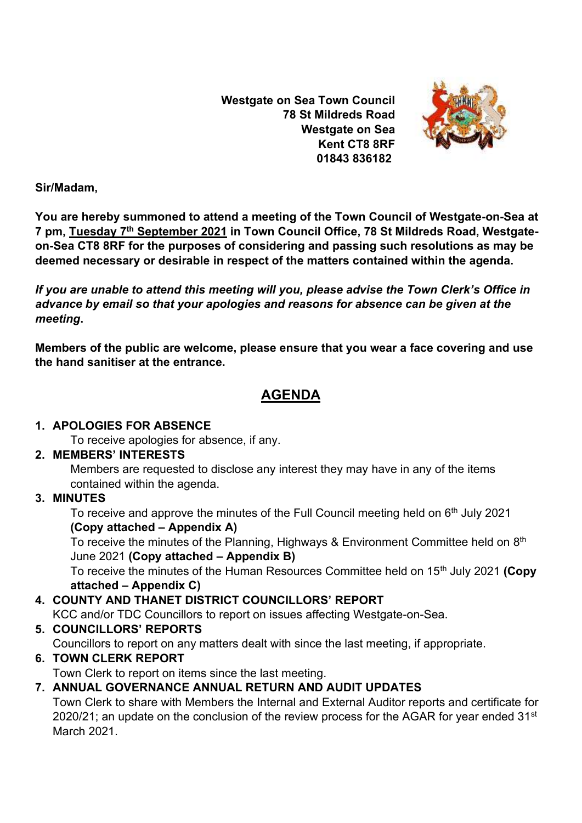**Westgate on Sea Town Council 78 St Mildreds Road Westgate on Sea Kent CT8 8RF 01843 836182**



**Sir/Madam,** 

**You are hereby summoned to attend a meeting of the Town Council of Westgate-on-Sea at 7 pm, Tuesday 7 th September 2021 in Town Council Office, 78 St Mildreds Road, Westgateon-Sea CT8 8RF for the purposes of considering and passing such resolutions as may be deemed necessary or desirable in respect of the matters contained within the agenda.**

*If you are unable to attend this meeting will you, please advise the Town Clerk's Office in advance by email so that your apologies and reasons for absence can be given at the meeting***.**

**Members of the public are welcome, please ensure that you wear a face covering and use the hand sanitiser at the entrance.** 

# **AGENDA**

## **1. APOLOGIES FOR ABSENCE**

To receive apologies for absence, if any.

## **2. MEMBERS' INTERESTS**

Members are requested to disclose any interest they may have in any of the items contained within the agenda.

## **3. MINUTES**

To receive and approve the minutes of the Full Council meeting held on 6<sup>th</sup> July 2021 **(Copy attached – Appendix A)**

To receive the minutes of the Planning, Highways & Environment Committee held on 8<sup>th</sup> June 2021 **(Copy attached – Appendix B)**

To receive the minutes of the Human Resources Committee held on 15<sup>th</sup> July 2021 **(Copy attached – Appendix C)**

## **4. COUNTY AND THANET DISTRICT COUNCILLORS' REPORT**

KCC and/or TDC Councillors to report on issues affecting Westgate-on-Sea.

## **5. COUNCILLORS' REPORTS**

Councillors to report on any matters dealt with since the last meeting, if appropriate.

## **6. TOWN CLERK REPORT**

Town Clerk to report on items since the last meeting.

## **7. ANNUAL GOVERNANCE ANNUAL RETURN AND AUDIT UPDATES**

Town Clerk to share with Members the Internal and External Auditor reports and certificate for 2020/21; an update on the conclusion of the review process for the AGAR for year ended  $31<sup>st</sup>$ March 2021.